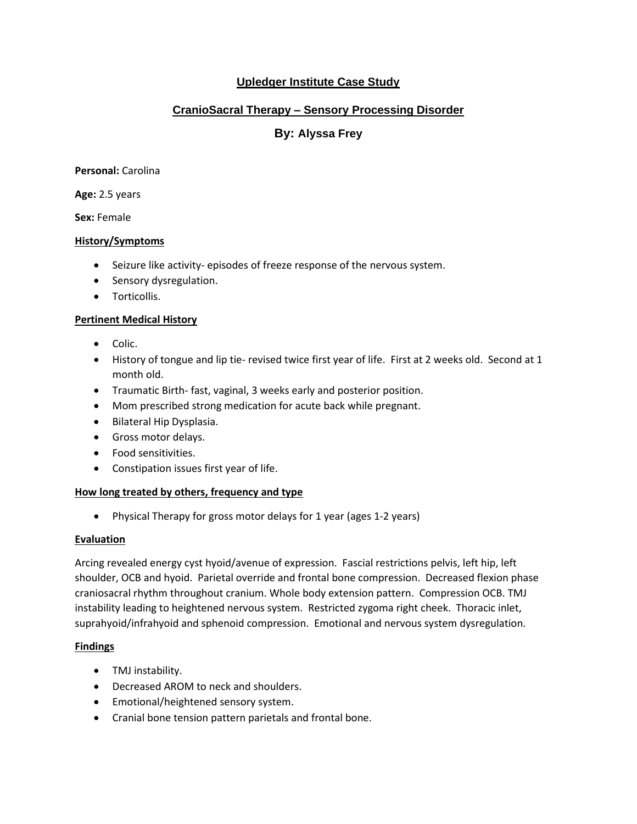# **Upledger Institute Case Study**

# **CranioSacral Therapy – Sensory Processing Disorder**

# **By: Alyssa Frey**

**Personal:** Carolina

**Age:** 2.5 years

**Sex:** Female

### **History/Symptoms**

- Seizure like activity- episodes of freeze response of the nervous system.
- Sensory dysregulation.
- Torticollis.

## **Pertinent Medical History**

- Colic.
- History of tongue and lip tie- revised twice first year of life. First at 2 weeks old. Second at 1 month old.
- Traumatic Birth- fast, vaginal, 3 weeks early and posterior position.
- Mom prescribed strong medication for acute back while pregnant.
- Bilateral Hip Dysplasia.
- Gross motor delays.
- Food sensitivities.
- Constipation issues first year of life.

## **How long treated by others, frequency and type**

• Physical Therapy for gross motor delays for 1 year (ages 1-2 years)

#### **Evaluation**

Arcing revealed energy cyst hyoid/avenue of expression. Fascial restrictions pelvis, left hip, left shoulder, OCB and hyoid. Parietal override and frontal bone compression. Decreased flexion phase craniosacral rhythm throughout cranium. Whole body extension pattern. Compression OCB. TMJ instability leading to heightened nervous system. Restricted zygoma right cheek. Thoracic inlet, suprahyoid/infrahyoid and sphenoid compression. Emotional and nervous system dysregulation.

## **Findings**

- TMJ instability.
- Decreased AROM to neck and shoulders.
- Emotional/heightened sensory system.
- Cranial bone tension pattern parietals and frontal bone.